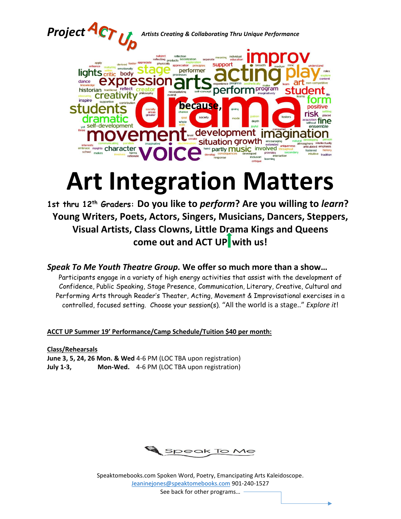

# **Art Integration Matters**

**1st thru 12th Graders: Do you like to** *perform***? Are you willing to** *learn***? Young Writers, Poets, Actors, Singers, Musicians, Dancers, Steppers, Visual Artists, Class Clowns, Little Drama Kings and Queens come out and ACT UP with us!** 

*Speak To Me Youth Theatre Group.* **We offer so much more than a show…**

Participants engage in a variety of high energy activities that assist with the development of Confidence, Public Speaking, Stage Presence, Communication, Literary, Creative, Cultural and Performing Arts through Reader's Theater, Acting, Movement & Improvisational exercises in a controlled, focused setting. Choose your session(s). "All the world is a stage.." *Explore it*!

**ACCT UP Summer 19' Performance/Camp Schedule/Tuition \$40 per month:**

**Class/Rehearsals June 3, 5, 24, 26 Mon. & Wed** 4-6 PM (LOC TBA upon registration) **July 1-3, Mon-Wed.** 4-6 PM (LOC TBA upon registration)



Speaktomebooks.com Spoken Word, Poetry, Emancipating Arts Kaleidoscope. [Jeaninejones@speaktomebooks.com](mailto:Jeaninejones@speaktomebooks.com) 901-240-1527

See back for other programs…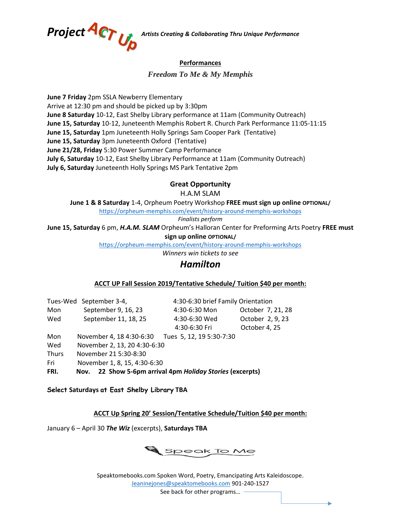

### **Performances**

*Freedom To Me & My Memphis*

**June 7 Friday** 2pm SSLA Newberry Elementary Arrive at 12:30 pm and should be picked up by 3:30pm **June 8 Saturday** 10-12, East Shelby Library performance at 11am (Community Outreach) **June 15, Saturday** 10-12, Juneteenth Memphis Robert R. Church Park Performance 11:05-11:15 **June 15, Saturday** 1pm Juneteenth Holly Springs Sam Cooper Park (Tentative) **June 15, Saturday** 3pm Juneteenth Oxford (Tentative) **June 21/28, Friday** 5:30 Power Summer Camp Performance **July 6, Saturday** 10-12, East Shelby Library Performance at 11am (Community Outreach) **July 6, Saturday** Juneteenth Holly Springs MS Park Tentative 2pm

## **Great Opportunity**

H.A.M SLAM

**June 1 & 8 Saturday** 1-4, Orpheum Poetry Workshop **FREE must sign up online OPTIONAL/**

<https://orpheum-memphis.com/event/history-around-memphis-workshops>

*Finalists perform*

**June 15, Saturday** 6 pm, *H.A.M. SLAM* Orpheum's Halloran Center for Preforming Arts Poetry **FREE must** 

**sign up online OPTIONAL/**

<https://orpheum-memphis.com/event/history-around-memphis-workshops>

*Winners win tickets to see* 

## *Hamilton*

#### **ACCT UP Fall Session 2019/Tentative Schedule/ Tuition \$40 per month:**

|       | Tues-Wed September 3-4,      | 4:30-6:30 brief Family Orientation |                   |
|-------|------------------------------|------------------------------------|-------------------|
| Mon   | September 9, 16, 23          | 4:30-6:30 Mon                      | October 7, 21, 28 |
| Wed   | September 11, 18, 25         | 4:30-6:30 Wed                      | October 2, 9, 23  |
|       |                              | 4:30-6:30 Fri                      | October 4, 25     |
| Mon   | November 4, 18 4:30-6:30     | Tues 5, 12, 19 5:30-7:30           |                   |
| Wed   | November 2, 13, 20 4:30-6:30 |                                    |                   |
| Thurs | November 21 5:30-8:30        |                                    |                   |
| Fri   | November 1, 8, 15, 4:30-6:30 |                                    |                   |

**FRI. Nov. 22 Show 5-6pm arrival 4pm** *Holiday Stories* **(excerpts)**

**Select Saturdays at East Shelby Library TBA**

**ACCT Up Spring 20' Session/Tentative Schedule/Tuition \$40 per month:**

January 6 – April 30 *The Wiz* (excerpts), **Saturdays TBA**



Speaktomebooks.com Spoken Word, Poetry, Emancipating Arts Kaleidoscope. [Jeaninejones@speaktomebooks.com](mailto:Jeaninejones@speaktomebooks.com) 901-240-1527

See back for other programs…